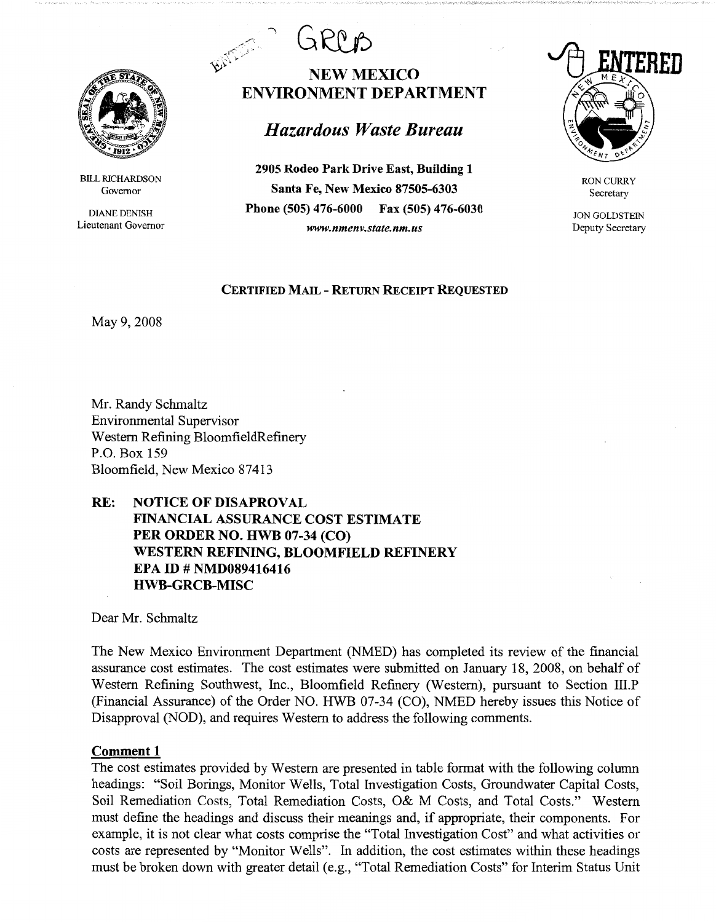

BILL RICHARDSON Governor

DIANE DENISH Lieutenant Governor



# BATTLE I **NEWMEXICO ENVIRONMENT DEPARTMENT**

# *Hazardous Waste Bureau*

**2905 Rodeo Park Drive East, Building 1 Santa Fe, New Mexico 87505-6303 Phone (505) 476-6000 Fax (505) 476-6030**  *www.nmenv.state.nm.us* 



RON CURRY Secretary

JON GOLDSTEIN Deputy Secretary

## **CERTIFIED MAIL** - **RETURN RECEIPT REQUESTED**

May 9, 2008

Mr. Randy Schmaltz Environmental Supervisor Western Refining BloomfieldRefinery P.O. Box 159 Bloomfield, New Mexico 87413

# **RE: NOTICE OF DISAPROVAL FINANCIAL ASSURANCE COST ESTIMATE PER ORDER NO. HWB 07-34 (CO) WESTERN REFINING, BLOOMFIELD REFINERY EPA ID# NMD089416416 HWB-GRCB-MISC**

Dear Mr. Schmaltz

The New Mexico Environment Department (NMED) has completed its review of the financial assurance cost estimates. The cost estimates were submitted on January 18, 2008, on behalf of Western Refining Southwest, Inc., Bloomfield Refinery (Western), pursuant to Section III.P (Financial Assurance) of the Order NO. HWB 07-34 (CO), NMED hereby issues this Notice of Disapproval (NOD), and requires Western to address the following comments.

# **Comment 1**

The cost estimates provided by Western are presented in table format with the following column headings: "Soil Borings, Monitor Wells, Total Investigation Costs, Groundwater Capital Costs, Soil Remediation Costs, Total Remediation Costs, O& M Costs, and Total Costs." Western must define the headings and discuss their meanings and, if appropriate, their components. For example, it is not clear what costs comprise the "Total Investigation Cost" and what activities or costs are represented by "Monitor Wells". In addition, the cost estimates within these headings must be broken down with greater detail (e.g., "Total Remediation Costs" for Interim Status Unit